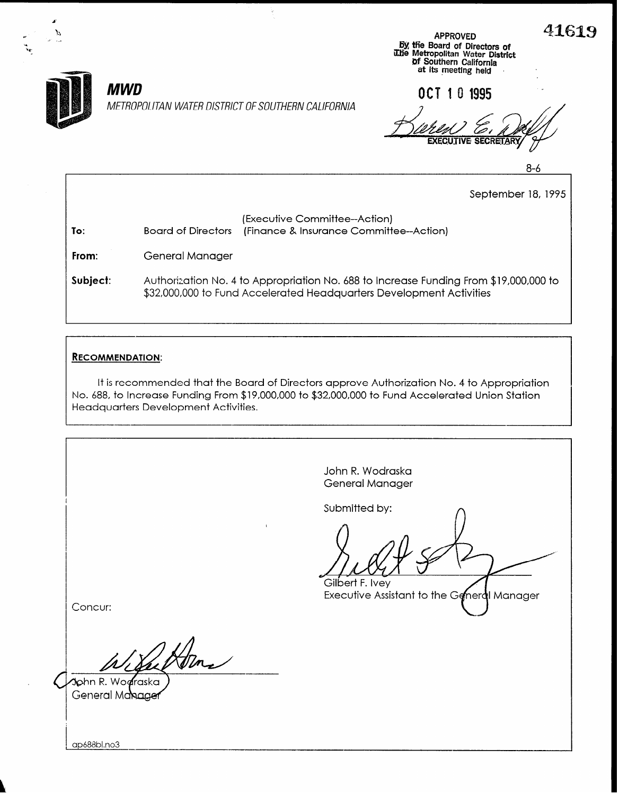



To:

.- .\_

METROPOLITAN WATER DISTRICT OF SOUTHERN CALIFORNIA

 $MWD$   $0 \text{CT} 10 1995$ **EXECUTIVE SECRETA** 

Of Southern California<br>at its meeting held

8-6

September 18, 1995

| (Executive Committee--Action)                              |
|------------------------------------------------------------|
| Board of Directors (Finance & Insurance Committee--Action) |

, يَسْتَ الْمَسْتَ الْمَسْتَ الْمَسْتَ الْمَسْتَ الْمَسْتَ الْمَسْتَ الْمَسْتَ الْمَسْتَ الْمَسْتَ الْمَسْتَ ا<br>The Metropolitan Water District المستقل المستقل المستقل المستقل المستقل المستقل المستقل المستقل المستقل المستق

Ÿ

From: General Manager

Subject: Authorization No. 4 to Appropriation No. 688 to Increase Funding From \$19,000,000 to \$32,000,000 to Fund Accelerated Headquarters Development Activities

### RECOMMENDATION:

It is recommended that the Board of Directors approve Authorization No. 4 to Appropriation No. 688, to Increase Funding From \$19,000,000 to \$32,000,000 to Fund Accelerated Union Station Headquarters Development Activities.

|                                     | John R. Wodraska<br>General Manager                                            |
|-------------------------------------|--------------------------------------------------------------------------------|
| $\mathbf{V}$<br>Concur:             | Submitted by:<br>Gilbert F. Ivey<br>Executive Assistant to the General Manager |
| John R. Worraska<br>General Manager |                                                                                |

ap688bl.no3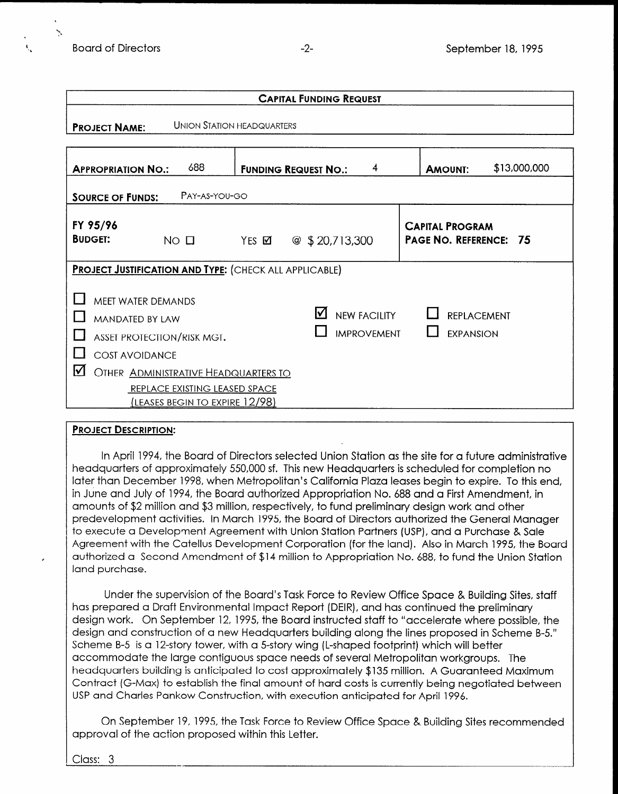

. 'C :\*

| <b>CAPITAL FUNDING REQUEST</b>                                                                                                                                                  |                                                                 |                             |    |                                           |  |                                                  |              |  |
|---------------------------------------------------------------------------------------------------------------------------------------------------------------------------------|-----------------------------------------------------------------|-----------------------------|----|-------------------------------------------|--|--------------------------------------------------|--------------|--|
| <b>PROJECT NAME:</b>                                                                                                                                                            | <b>UNION STATION HEADQUARTERS</b>                               |                             |    |                                           |  |                                                  |              |  |
| <b>APPROPRIATION NO.:</b>                                                                                                                                                       | 688                                                             | <b>FUNDING REQUEST NO.:</b> |    | 4                                         |  | <b>AMOUNT:</b>                                   | \$13,000,000 |  |
| <b>SOURCE OF FUNDS:</b>                                                                                                                                                         | PAY-AS-YOU-GO                                                   |                             |    |                                           |  |                                                  |              |  |
| FY 95/96<br><b>BUDGET:</b><br>$NO$ $\Box$                                                                                                                                       |                                                                 | @\$320,713,300<br>YES Ø     |    |                                           |  | <b>CAPITAL PROGRAM</b><br>PAGE NO. REFERENCE: 75 |              |  |
| <b>PROJECT JUSTIFICATION AND TYPE: (CHECK ALL APPLICABLE)</b>                                                                                                                   |                                                                 |                             |    |                                           |  |                                                  |              |  |
| <b>MEET WATER DEMANDS</b><br><b>MANDATED BY LAW</b><br>ASSET PROTECTION/RISK MGT.<br><b>COST AVOIDANCE</b><br>$\boldsymbol{\mathsf{V}}$<br>OTHER ADMINISTRATIVE HEADQUARTERS TO | REPLACE EXISTING LEASED SPACE<br>(leases begin to expire 12/98) |                             | I√ | <b>NEW FACILITY</b><br><b>IMPROVEMENT</b> |  | <b>REPLACEMENT</b><br><b>EXPANSION</b>           |              |  |

#### PROJECT DESCRIPTION:

In April 1994, the Board of Directors selected Union Station as the site for a future administrative heradquarters of approximately 550,000 species of approximation completion of protote definition of headquarters of approximately 550,000 sf. This new Headquarters is scheduled for completion no<br>later than December 1998, when Metropolitan's California Plaza leases begin to expire. To this end, in July 1994, the Board and July 1994, the Board and and and and a First Appropriation Applies. To this experie amounts of the 30 million and \$3 million and \$3 million, respectively, to fund the preliminary design work and amounts of \$2 million and \$3 million, respectively, to fund preliminary design work and other predevelopment activities. In March 1995, the Board of Directors authorized the General Manager to execute a Development Agreement with Union Station Partners (USP), and a Purchase & Sale Agreement with the Catellus Development Corporation (for the land). Also in March 1995, the Board authorized a Second Amendment of \$14 million to Appropriation No. 688, to fund the Union Station land purchase.

under the supervision of the Board's Task Force to Keview Uffice Space & Building Stre has prepared a Draft Environmental Impact Report (DEIR), and has continued the preliminary design work. On September 12, 1995, the Board instructed staff to "accelerate where possible, the design and construction of a new Headquarters building along the lines proposed in Scheme B-5." Scheme B-5 is a 12-story tower, with a 5-story wing (L-shaped footprint) which will better accommodate the large contiguous space needs of several Metropolitan workgroups. The headquarters building is anticipated to cost approximately \$135 million. A Guaranteed Maximum Contract (G-Max) to establish the final amount of hard costs is currently being negotiated between<br>USP and Charles Pankow Construction, with execution anticipated for April 1996.

On September 19, 1995, the Task Force to Review Office Space & Building Sites recommended approval of the action proposed within this Letter.

Class: 3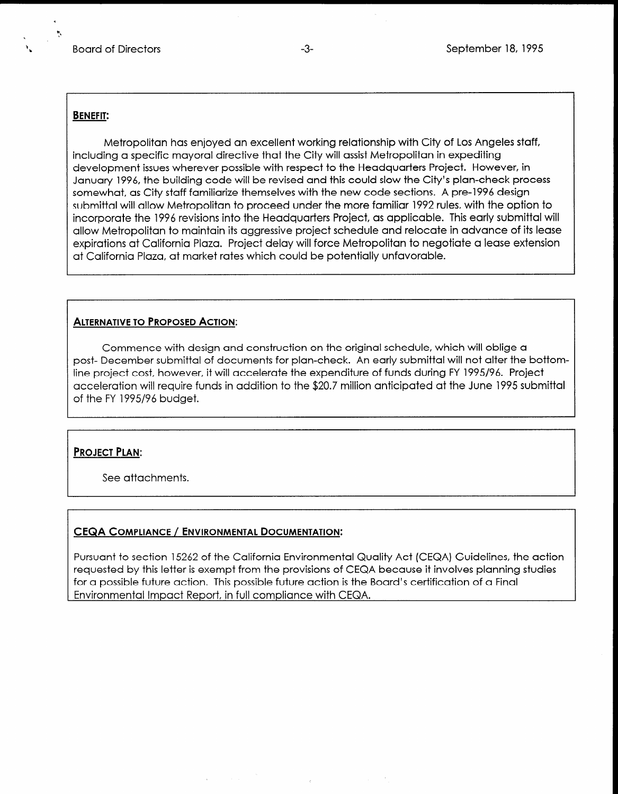#### BENEFIT:

Metropolitan has enjoyed an excellent working relationship with City of Los Angeles staff, including a specific mayoral directive that the City will assist Metropolitan in expediting development issues wherever possible with respect to the Headquarters Project. However, in January 1996, the building code will be revised and this could slow the City's plan-check process somewhat, as City staff familiarize themselves with the new code sections. A pre-1996 design submittal will allow Metropolitan to proceed under the more familiar 1992 rules, with the option to incorporate the 1996 revisions into the Headquarters Project, as applicable. This early submittal will allow Metropolitan to maintain its aggressive project schedule and relocate in advance of its lease expirations at California Plaza. Project delay will force Metropolitan to negotiate a lease extension at California Plaza, at market rates which could be potentially unfavorable.

#### ALTERNATIVE TO PROPOSED ACTION:

Commence with design and construction on the original schedule, which will oblige a post- December submittal of documents for plan-check. An early submittal will not alter the bottomline project cost, however, it will accelerate the expenditure of funds during FY 1995/96. Project acceleration will require funds in addition to the \$20.7 million anticipated at the June 1995 submittal of the FY 1995/96 budget.

#### PROJECT PLAN:

See attachments.

#### CEQA COMPLIANCE / ENVIRONMENTAL DOCUMENTATION:

Pursuant to section 15262 of the California Environmental Quality Act (CEQA) Guidelines, the action reported by the provision of the cultural complete individually act (CEQA) coldentes, the deterministic provisions of the complete studies and the complete studies of the complete studies of the complete studies of the com requested by this letter is exempt from the provisions of CEQA because it involves planning studies for a possible future action. This possible future action is the Board's certification of a Final<br>Environmental Impact Report, in full compliance with CEQA.